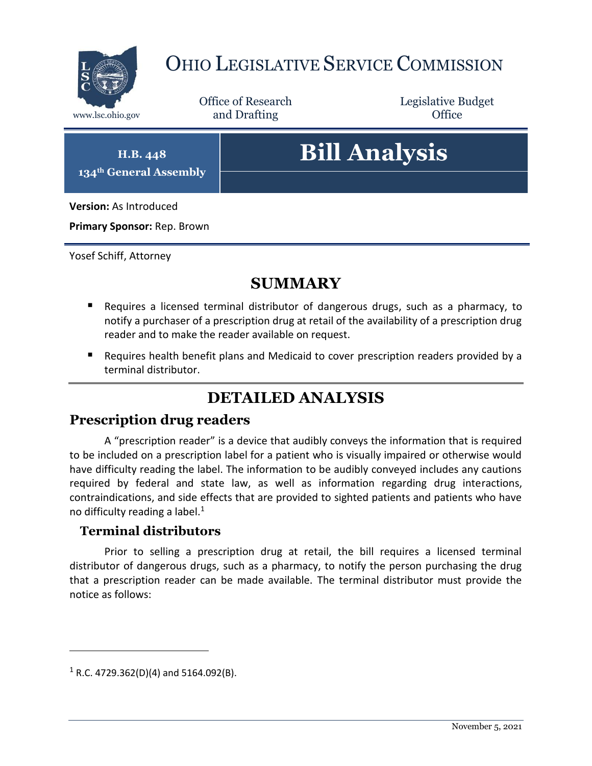

## OHIO LEGISLATIVE SERVICE COMMISSION

Office of Research www.lsc.ohio.gov **and Drafting Office** 

Legislative Budget

**H.B. 448 134th General Assembly**

# **Bill Analysis**

**Version:** As Introduced

**Primary Sponsor:** Rep. Brown

Yosef Schiff, Attorney

## **SUMMARY**

- Requires a licensed terminal distributor of dangerous drugs, such as a pharmacy, to notify a purchaser of a prescription drug at retail of the availability of a prescription drug reader and to make the reader available on request.
- **Requires health benefit plans and Medicaid to cover prescription readers provided by a** terminal distributor.

## **DETAILED ANALYSIS**

#### **Prescription drug readers**

A "prescription reader" is a device that audibly conveys the information that is required to be included on a prescription label for a patient who is visually impaired or otherwise would have difficulty reading the label. The information to be audibly conveyed includes any cautions required by federal and state law, as well as information regarding drug interactions, contraindications, and side effects that are provided to sighted patients and patients who have no difficulty reading a label. $1$ 

#### **Terminal distributors**

Prior to selling a prescription drug at retail, the bill requires a licensed terminal distributor of dangerous drugs, such as a pharmacy, to notify the person purchasing the drug that a prescription reader can be made available. The terminal distributor must provide the notice as follows:

 $\overline{a}$ 

 $1$  R.C. 4729.362(D)(4) and 5164.092(B).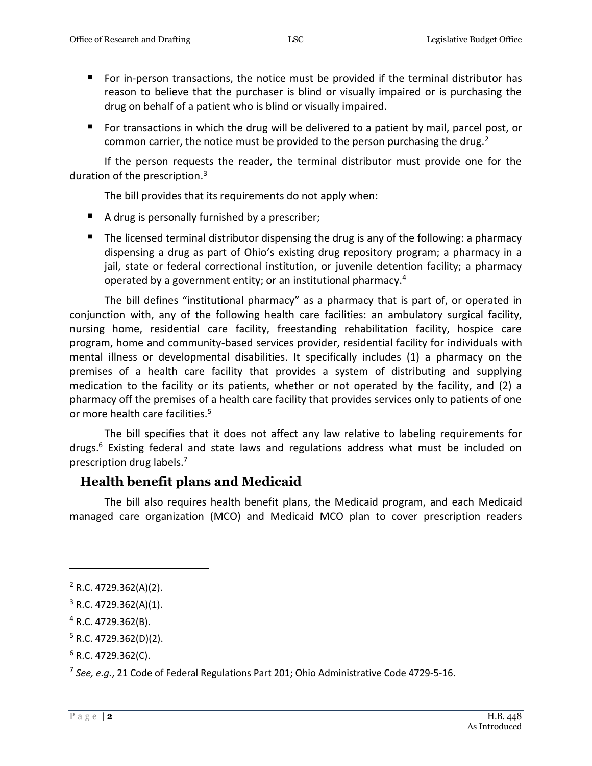- For in-person transactions, the notice must be provided if the terminal distributor has reason to believe that the purchaser is blind or visually impaired or is purchasing the drug on behalf of a patient who is blind or visually impaired.
- For transactions in which the drug will be delivered to a patient by mail, parcel post, or common carrier, the notice must be provided to the person purchasing the drug.<sup>2</sup>

If the person requests the reader, the terminal distributor must provide one for the duration of the prescription.<sup>3</sup>

The bill provides that its requirements do not apply when:

- A drug is personally furnished by a prescriber;
- The licensed terminal distributor dispensing the drug is any of the following: a pharmacy dispensing a drug as part of Ohio's existing drug repository program; a pharmacy in a jail, state or federal correctional institution, or juvenile detention facility; a pharmacy operated by a government entity; or an institutional pharmacy.<sup>4</sup>

The bill defines "institutional pharmacy" as a pharmacy that is part of, or operated in conjunction with, any of the following health care facilities: an ambulatory surgical facility, nursing home, residential care facility, freestanding rehabilitation facility, hospice care program, home and community-based services provider, residential facility for individuals with mental illness or developmental disabilities. It specifically includes (1) a pharmacy on the premises of a health care facility that provides a system of distributing and supplying medication to the facility or its patients, whether or not operated by the facility, and (2) a pharmacy off the premises of a health care facility that provides services only to patients of one or more health care facilities.<sup>5</sup>

The bill specifies that it does not affect any law relative to labeling requirements for drugs.<sup>6</sup> Existing federal and state laws and regulations address what must be included on prescription drug labels.<sup>7</sup>

#### **Health benefit plans and Medicaid**

The bill also requires health benefit plans, the Medicaid program, and each Medicaid managed care organization (MCO) and Medicaid MCO plan to cover prescription readers

 $\overline{a}$ 

<sup>2</sup> R.C. 4729.362(A)(2).

 $3$  R.C. 4729.362(A)(1).

 $4$  R.C. 4729.362(B).

 $5$  R.C. 4729.362(D)(2).

 $6$  R.C. 4729.362(C).

<sup>7</sup> *See, e.g.*, 21 Code of Federal Regulations Part 201; Ohio Administrative Code 4729-5-16.